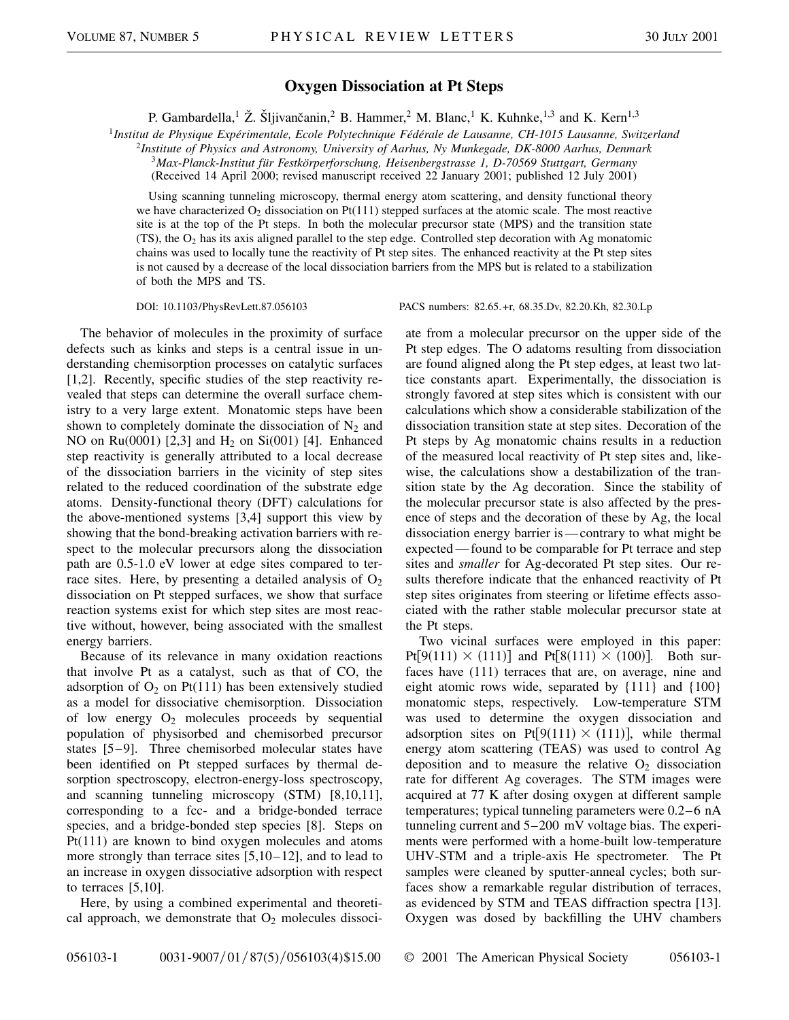## **Oxygen Dissociation at Pt Steps**

P. Gambardella,<sup>1</sup> Ž. Šljivančanin,<sup>2</sup> B. Hammer,<sup>2</sup> M. Blanc,<sup>1</sup> K. Kuhnke,<sup>1,3</sup> and K. Kern<sup>1,3</sup>

<sup>1</sup>*Institut de Physique Expérimentale, Ecole Polytechnique Fédérale de Lausanne, CH-1015 Lausanne, Switzerland*

<sup>2</sup>*Institute of Physics and Astronomy, University of Aarhus, Ny Munkegade, DK-8000 Aarhus, Denmark*

<sup>3</sup>*Max-Planck-Institut für Festkörperforschung, Heisenbergstrasse 1, D-70569 Stuttgart, Germany*

(Received 14 April 2000; revised manuscript received 22 January 2001; published 12 July 2001)

Using scanning tunneling microscopy, thermal energy atom scattering, and density functional theory we have characterized  $O_2$  dissociation on Pt(111) stepped surfaces at the atomic scale. The most reactive site is at the top of the Pt steps. In both the molecular precursor state (MPS) and the transition state (TS), the  $O_2$  has its axis aligned parallel to the step edge. Controlled step decoration with Ag monatomic chains was used to locally tune the reactivity of Pt step sites. The enhanced reactivity at the Pt step sites is not caused by a decrease of the local dissociation barriers from the MPS but is related to a stabilization of both the MPS and TS.

The behavior of molecules in the proximity of surface defects such as kinks and steps is a central issue in understanding chemisorption processes on catalytic surfaces [1,2]. Recently, specific studies of the step reactivity revealed that steps can determine the overall surface chemistry to a very large extent. Monatomic steps have been shown to completely dominate the dissociation of  $N_2$  and NO on Ru(0001) [2,3] and  $H_2$  on Si(001) [4]. Enhanced step reactivity is generally attributed to a local decrease of the dissociation barriers in the vicinity of step sites related to the reduced coordination of the substrate edge atoms. Density-functional theory (DFT) calculations for the above-mentioned systems [3,4] support this view by showing that the bond-breaking activation barriers with respect to the molecular precursors along the dissociation path are 0.5-1.0 eV lower at edge sites compared to terrace sites. Here, by presenting a detailed analysis of  $O_2$ dissociation on Pt stepped surfaces, we show that surface reaction systems exist for which step sites are most reactive without, however, being associated with the smallest energy barriers.

Because of its relevance in many oxidation reactions that involve Pt as a catalyst, such as that of CO, the adsorption of  $O_2$  on Pt(111) has been extensively studied as a model for dissociative chemisorption. Dissociation of low energy  $O_2$  molecules proceeds by sequential population of physisorbed and chemisorbed precursor states [5–9]. Three chemisorbed molecular states have been identified on Pt stepped surfaces by thermal desorption spectroscopy, electron-energy-loss spectroscopy, and scanning tunneling microscopy (STM) [8,10,11], corresponding to a fcc- and a bridge-bonded terrace species, and a bridge-bonded step species [8]. Steps on Pt(111) are known to bind oxygen molecules and atoms more strongly than terrace sites [5,10–12], and to lead to an increase in oxygen dissociative adsorption with respect to terraces [5,10].

Here, by using a combined experimental and theoretical approach, we demonstrate that  $O_2$  molecules dissoci-

DOI: 10.1103/PhysRevLett.87.056103 PACS numbers: 82.65.+r, 68.35.Dv, 82.20.Kh, 82.30.Lp

ate from a molecular precursor on the upper side of the Pt step edges. The O adatoms resulting from dissociation are found aligned along the Pt step edges, at least two lattice constants apart. Experimentally, the dissociation is strongly favored at step sites which is consistent with our calculations which show a considerable stabilization of the dissociation transition state at step sites. Decoration of the Pt steps by Ag monatomic chains results in a reduction of the measured local reactivity of Pt step sites and, likewise, the calculations show a destabilization of the transition state by the Ag decoration. Since the stability of the molecular precursor state is also affected by the presence of steps and the decoration of these by Ag, the local dissociation energy barrier is —contrary to what might be expected — found to be comparable for Pt terrace and step sites and *smaller* for Ag-decorated Pt step sites. Our results therefore indicate that the enhanced reactivity of Pt step sites originates from steering or lifetime effects associated with the rather stable molecular precursor state at the Pt steps.

Two vicinal surfaces were employed in this paper:  $Pt[9(111) \times (111)]$  and  $Pt[8(111) \times (100)]$ . Both surfaces have (111) terraces that are, on average, nine and eight atomic rows wide, separated by {111} and {100} monatomic steps, respectively. Low-temperature STM was used to determine the oxygen dissociation and adsorption sites on Pt[ $9(111) \times (111)$ ], while thermal energy atom scattering (TEAS) was used to control Ag deposition and to measure the relative  $O_2$  dissociation rate for different Ag coverages. The STM images were acquired at 77 K after dosing oxygen at different sample temperatures; typical tunneling parameters were 0.2–6 nA tunneling current and 5–200 mV voltage bias. The experiments were performed with a home-built low-temperature UHV-STM and a triple-axis He spectrometer. The Pt samples were cleaned by sputter-anneal cycles; both surfaces show a remarkable regular distribution of terraces, as evidenced by STM and TEAS diffraction spectra [13]. Oxygen was dosed by backfilling the UHV chambers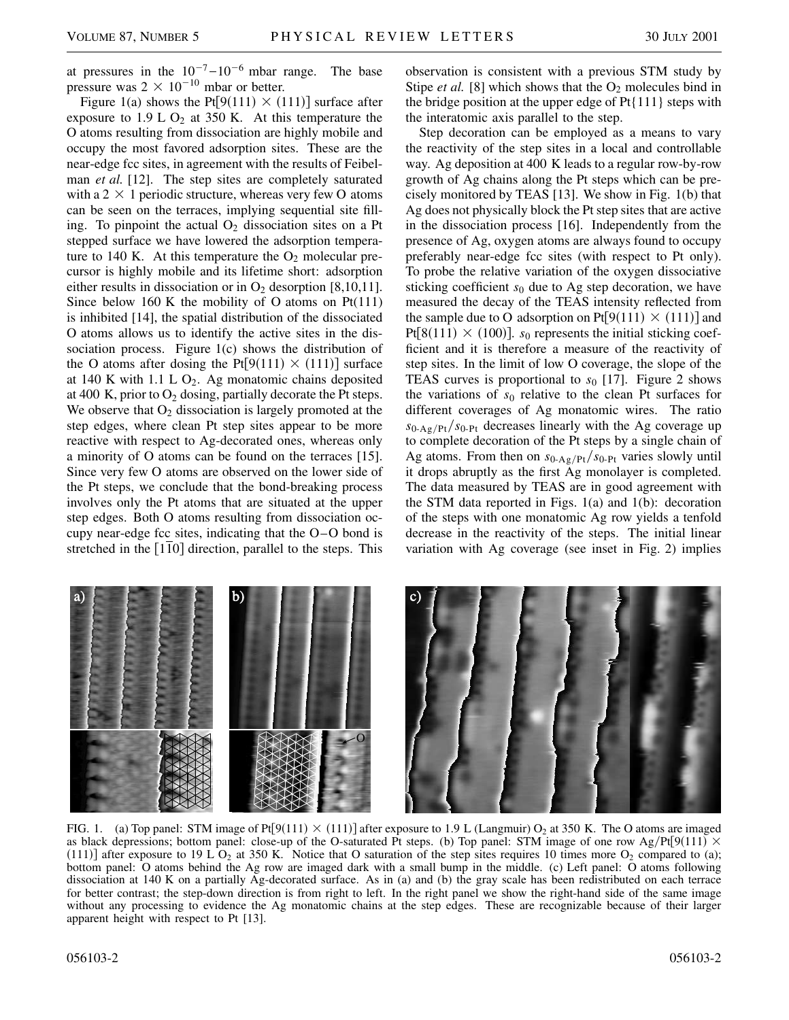at pressures in the  $10^{-7}$ - $10^{-6}$  mbar range. The base pressure was  $2 \times 10^{-10}$  mbar or better.

Figure 1(a) shows the Pt[ $9(111) \times (111)$ ] surface after exposure to  $1.9 \text{ L } \text{O}_2$  at 350 K. At this temperature the O atoms resulting from dissociation are highly mobile and occupy the most favored adsorption sites. These are the near-edge fcc sites, in agreement with the results of Feibelman *et al.* [12]. The step sites are completely saturated with a  $2 \times 1$  periodic structure, whereas very few O atoms can be seen on the terraces, implying sequential site filling. To pinpoint the actual  $O_2$  dissociation sites on a Pt stepped surface we have lowered the adsorption temperature to 140 K. At this temperature the  $O_2$  molecular precursor is highly mobile and its lifetime short: adsorption either results in dissociation or in  $O_2$  desorption [8,10,11]. Since below 160 K the mobility of O atoms on  $Pt(111)$ is inhibited [14], the spatial distribution of the dissociated O atoms allows us to identify the active sites in the dissociation process. Figure 1(c) shows the distribution of the O atoms after dosing the Pt[ $9(111) \times (111)$ ] surface at 140 K with 1.1 L  $O_2$ . Ag monatomic chains deposited at 400 K, prior to  $O_2$  dosing, partially decorate the Pt steps. We observe that  $O_2$  dissociation is largely promoted at the step edges, where clean Pt step sites appear to be more reactive with respect to Ag-decorated ones, whereas only a minority of O atoms can be found on the terraces [15]. Since very few O atoms are observed on the lower side of the Pt steps, we conclude that the bond-breaking process involves only the Pt atoms that are situated at the upper step edges. Both O atoms resulting from dissociation occupy near-edge fcc sites, indicating that the O–O bond is stretched in the  $\lceil 1\overline{10} \rceil$  direction, parallel to the steps. This observation is consistent with a previous STM study by Stipe *et al.* [8] which shows that the  $O_2$  molecules bind in the bridge position at the upper edge of  $Pt{111}$  steps with the interatomic axis parallel to the step.

Step decoration can be employed as a means to vary the reactivity of the step sites in a local and controllable way. Ag deposition at 400 K leads to a regular row-by-row growth of Ag chains along the Pt steps which can be precisely monitored by TEAS [13]. We show in Fig. 1(b) that Ag does not physically block the Pt step sites that are active in the dissociation process [16]. Independently from the presence of Ag, oxygen atoms are always found to occupy preferably near-edge fcc sites (with respect to Pt only). To probe the relative variation of the oxygen dissociative sticking coefficient  $s_0$  due to Ag step decoration, we have measured the decay of the TEAS intensity reflected from the sample due to O adsorption on Pt[ $9(111) \times (111)$ ] and Pt[ $8(111) \times (100)$ ]. *s*<sub>0</sub> represents the initial sticking coefficient and it is therefore a measure of the reactivity of step sites. In the limit of low O coverage, the slope of the TEAS curves is proportional to  $s_0$  [17]. Figure 2 shows the variations of  $s_0$  relative to the clean Pt surfaces for different coverages of Ag monatomic wires. The ratio  $s_{0-Ag/Pt}/s_{0-Pt}$  decreases linearly with the Ag coverage up to complete decoration of the Pt steps by a single chain of Ag atoms. From then on  $s_{0-Ag/Pt}/s_{0-Pt}$  varies slowly until it drops abruptly as the first Ag monolayer is completed. The data measured by TEAS are in good agreement with the STM data reported in Figs. 1(a) and 1(b): decoration of the steps with one monatomic Ag row yields a tenfold decrease in the reactivity of the steps. The initial linear variation with Ag coverage (see inset in Fig. 2) implies



FIG. 1. (a) Top panel: STM image of Pt[ $9(111) \times (111)$ ] after exposure to 1.9 L (Langmuir) O<sub>2</sub> at 350 K. The O atoms are imaged as black depressions; bottom panel: close-up of the O-saturated Pt steps. (b) Top panel: STM image of one row Ag/Pt[9(111)  $\times$ (111)] after exposure to 19 L  $O_2$  at 350 K. Notice that O saturation of the step sites requires 10 times more  $O_2$  compared to (a); bottom panel: O atoms behind the Ag row are imaged dark with a small bump in the middle. (c) Left panel: O atoms following dissociation at 140 K on a partially Ag-decorated surface. As in (a) and (b) the gray scale has been redistributed on each terrace for better contrast; the step-down direction is from right to left. In the right panel we show the right-hand side of the same image without any processing to evidence the Ag monatomic chains at the step edges. These are recognizable because of their larger apparent height with respect to Pt [13].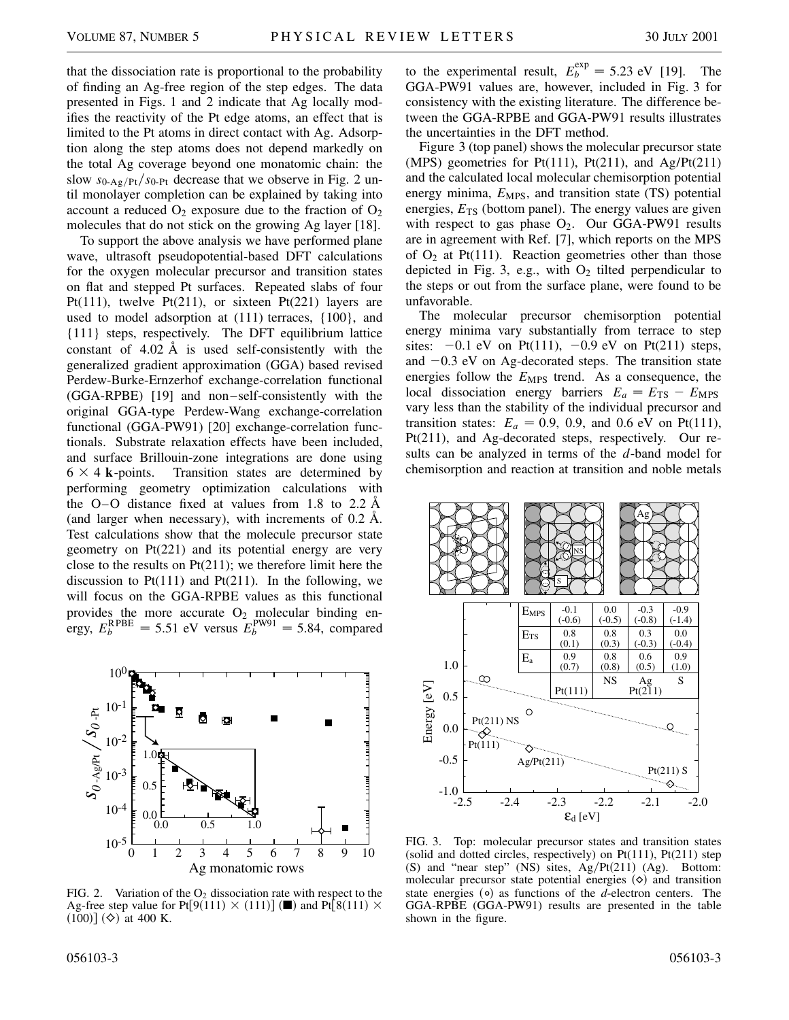that the dissociation rate is proportional to the probability of finding an Ag-free region of the step edges. The data presented in Figs. 1 and 2 indicate that Ag locally modifies the reactivity of the Pt edge atoms, an effect that is limited to the Pt atoms in direct contact with Ag. Adsorption along the step atoms does not depend markedly on the total Ag coverage beyond one monatomic chain: the slow  $s_{0-Ag/Pt}/s_{0-Pt}$  decrease that we observe in Fig. 2 until monolayer completion can be explained by taking into account a reduced  $O_2$  exposure due to the fraction of  $O_2$ molecules that do not stick on the growing Ag layer [18].

To support the above analysis we have performed plane wave, ultrasoft pseudopotential-based DFT calculations for the oxygen molecular precursor and transition states on flat and stepped Pt surfaces. Repeated slabs of four Pt(111), twelve Pt(211), or sixteen Pt(221) layers are used to model adsorption at (111) terraces, {100}, and {111} steps, respectively. The DFT equilibrium lattice constant of 4.02 Å is used self-consistently with the generalized gradient approximation (GGA) based revised Perdew-Burke-Ernzerhof exchange-correlation functional (GGA-RPBE) [19] and non–self-consistently with the original GGA-type Perdew-Wang exchange-correlation functional (GGA-PW91) [20] exchange-correlation functionals. Substrate relaxation effects have been included, and surface Brillouin-zone integrations are done using  $6 \times 4$  **k**-points. Transition states are determined by performing geometry optimization calculations with the O–O distance fixed at values from 1.8 to 2.2  $\AA$ (and larger when necessary), with increments of 0.2 Å. Test calculations show that the molecule precursor state geometry on Pt(221) and its potential energy are very close to the results on  $Pt(211)$ ; we therefore limit here the discussion to  $Pt(111)$  and  $Pt(211)$ . In the following, we will focus on the GGA-RPBE values as this functional provides the more accurate  $O_2$  molecular binding energy,  $E_b^{\text{RPBE}} = 5.51$  eV versus  $E_b^{\text{PW91}} = 5.84$ , compared



FIG. 2. Variation of the  $O_2$  dissociation rate with respect to the Ag-free step value for Pt[9(111)  $\times$  (111)] ( $\blacksquare$ ) and Pt[8(111)  $\times$  $(100)$ ]  $($ ) at 400 K.

to the experimental result,  $E_b^{\text{exp}} = 5.23 \text{ eV}$  [19]. The GGA-PW91 values are, however, included in Fig. 3 for consistency with the existing literature. The difference between the GGA-RPBE and GGA-PW91 results illustrates the uncertainties in the DFT method.

Figure 3 (top panel) shows the molecular precursor state (MPS) geometries for  $Pt(111)$ ,  $Pt(211)$ , and  $Ag/Pt(211)$ and the calculated local molecular chemisorption potential energy minima,  $E_{\text{MPS}}$ , and transition state (TS) potential energies,  $E_{TS}$  (bottom panel). The energy values are given with respect to gas phase  $O_2$ . Our GGA-PW91 results are in agreement with Ref. [7], which reports on the MPS of  $O_2$  at Pt(111). Reaction geometries other than those depicted in Fig. 3, e.g., with  $O_2$  tilted perpendicular to the steps or out from the surface plane, were found to be unfavorable.

The molecular precursor chemisorption potential energy minima vary substantially from terrace to step sites:  $-0.1$  eV on Pt(111),  $-0.9$  eV on Pt(211) steps, and  $-0.3$  eV on Ag-decorated steps. The transition state energies follow the  $E_{\text{MPS}}$  trend. As a consequence, the local dissociation energy barriers  $E_a = E_{TS} - E_{MPS}$ vary less than the stability of the individual precursor and transition states:  $E_a = 0.9, 0.9,$  and 0.6 eV on Pt(111), Pt(211), and Ag-decorated steps, respectively. Our results can be analyzed in terms of the *d*-band model for chemisorption and reaction at transition and noble metals



FIG. 3. Top: molecular precursor states and transition states (solid and dotted circles, respectively) on Pt(111), Pt(211) step (S) and "near step" (NS) sites,  $Ag/Pt(211)$  (Ag). Bottom: molecular precursor state potential energies  $(\diamond)$  and transition state energies ( $\circ$ ) as functions of the *d*-electron centers. The GGA-RPBE (GGA-PW91) results are presented in the table shown in the figure.